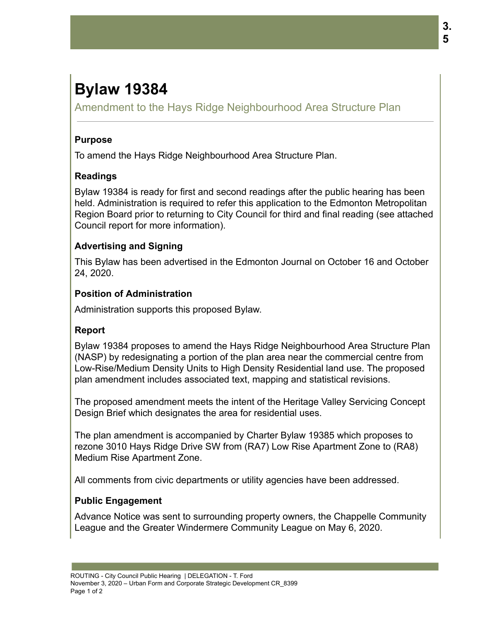# **Bylaw 19384**

Amendment to the Hays Ridge Neighbourhood Area Structure Plan

#### **Purpose**

To amend the Hays Ridge Neighbourhood Area Structure Plan.

### **Readings**

Bylaw 19384 is ready for first and second readings after the public hearing has been held. Administration is required to refer this application to the Edmonton Metropolitan Region Board prior to returning to City Council for third and final reading (see attached Council report for more information).

### **Advertising and Signing**

This Bylaw has been advertised in the Edmonton Journal on October 16 and October 24, 2020.

#### **Position of Administration**

Administration supports this proposed Bylaw.

# **Report**

Bylaw 19384 proposes to amend the Hays Ridge Neighbourhood Area Structure Plan (NASP) by redesignating a portion of the plan area near the commercial centre from Low-Rise/Medium Density Units to High Density Residential land use. The proposed plan amendment includes associated text, mapping and statistical revisions.

The proposed amendment meets the intent of the Heritage Valley Servicing Concept Design Brief which designates the area for residential uses.

The plan amendment is accompanied by Charter Bylaw 19385 which proposes to rezone 3010 Hays Ridge Drive SW from (RA7) Low Rise Apartment Zone to (RA8) Medium Rise Apartment Zone.

All comments from civic departments or utility agencies have been addressed.

# **Public Engagement**

Advance Notice was sent to surrounding property owners, the Chappelle Community League and the Greater Windermere Community League on May 6, 2020.